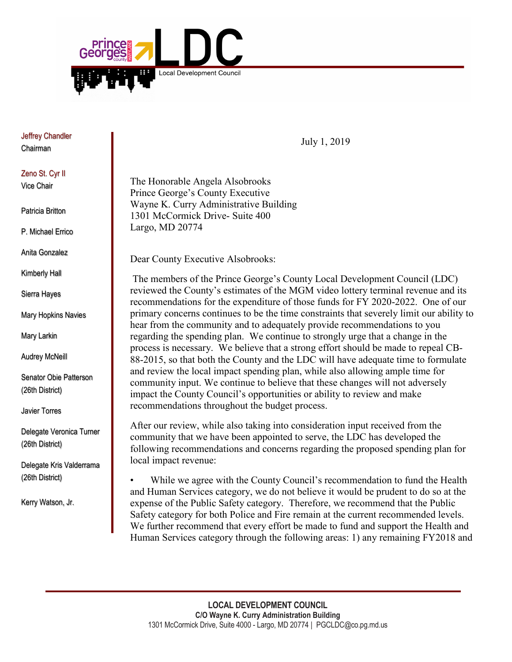

Jeffrey Chandler Chairman

## Zeno St. Cyr II

Vice Chair

Patricia Britton

P. Michael Errico

Anita Gonzalez

Kimberly Hall

Sierra Hayes

Mary Hopkins Navies

Mary Larkin

Audrey McNeill

Senator Obie Patterson (26th District)

Javier Torres

Delegate Veronica Turner (26th District)

Delegate Kris Valderrama (26th District)

Kerry Watson, Jr.

July 1, 2019

The Honorable Angela Alsobrooks Prince George's County Executive Wayne K. Curry Administrative Building 1301 McCormick Drive- Suite 400 Largo, MD 20774

Dear County Executive Alsobrooks:

The members of the Prince George's County Local Development Council (LDC) reviewed the County's estimates of the MGM video lottery terminal revenue and its recommendations for the expenditure of those funds for FY 2020-2022. One of our primary concerns continues to be the time constraints that severely limit our ability to hear from the community and to adequately provide recommendations to you regarding the spending plan. We continue to strongly urge that a change in the process is necessary. We believe that a strong effort should be made to repeal CB-88-2015, so that both the County and the LDC will have adequate time to formulate and review the local impact spending plan, while also allowing ample time for community input. We continue to believe that these changes will not adversely impact the County Council's opportunities or ability to review and make recommendations throughout the budget process.

After our review, while also taking into consideration input received from the community that we have been appointed to serve, the LDC has developed the following recommendations and concerns regarding the proposed spending plan for local impact revenue:

While we agree with the County Council's recommendation to fund the Health and Human Services category, we do not believe it would be prudent to do so at the expense of the Public Safety category. Therefore, we recommend that the Public Safety category for both Police and Fire remain at the current recommended levels. We further recommend that every effort be made to fund and support the Health and Human Services category through the following areas: 1) any remaining FY2018 and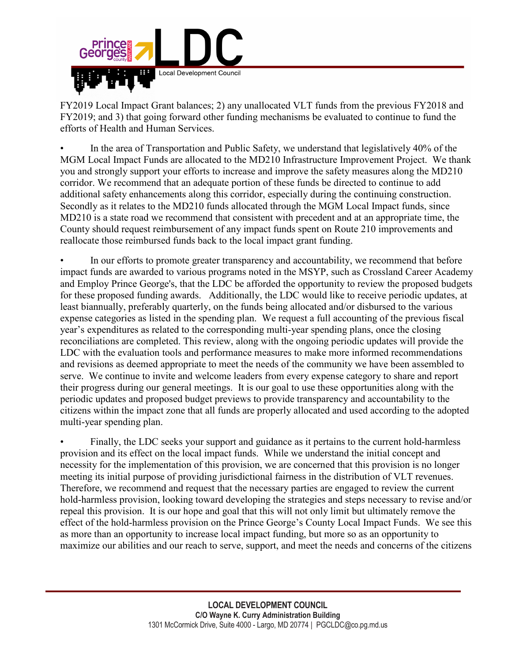

FY2019 Local Impact Grant balances; 2) any unallocated VLT funds from the previous FY2018 and FY2019; and 3) that going forward other funding mechanisms be evaluated to continue to fund the efforts of Health and Human Services.

• In the area of Transportation and Public Safety, we understand that legislatively 40% of the MGM Local Impact Funds are allocated to the MD210 Infrastructure Improvement Project. We thank you and strongly support your efforts to increase and improve the safety measures along the MD210 corridor. We recommend that an adequate portion of these funds be directed to continue to add additional safety enhancements along this corridor, especially during the continuing construction. Secondly as it relates to the MD210 funds allocated through the MGM Local Impact funds, since MD210 is a state road we recommend that consistent with precedent and at an appropriate time, the County should request reimbursement of any impact funds spent on Route 210 improvements and reallocate those reimbursed funds back to the local impact grant funding.

• In our efforts to promote greater transparency and accountability, we recommend that before impact funds are awarded to various programs noted in the MSYP, such as Crossland Career Academy and Employ Prince George's, that the LDC be afforded the opportunity to review the proposed budgets for these proposed funding awards. Additionally, the LDC would like to receive periodic updates, at least biannually, preferably quarterly, on the funds being allocated and/or disbursed to the various expense categories as listed in the spending plan. We request a full accounting of the previous fiscal year's expenditures as related to the corresponding multi-year spending plans, once the closing reconciliations are completed. This review, along with the ongoing periodic updates will provide the LDC with the evaluation tools and performance measures to make more informed recommendations and revisions as deemed appropriate to meet the needs of the community we have been assembled to serve. We continue to invite and welcome leaders from every expense category to share and report their progress during our general meetings. It is our goal to use these opportunities along with the periodic updates and proposed budget previews to provide transparency and accountability to the citizens within the impact zone that all funds are properly allocated and used according to the adopted multi-year spending plan.

• Finally, the LDC seeks your support and guidance as it pertains to the current hold-harmless provision and its effect on the local impact funds. While we understand the initial concept and necessity for the implementation of this provision, we are concerned that this provision is no longer meeting its initial purpose of providing jurisdictional fairness in the distribution of VLT revenues. Therefore, we recommend and request that the necessary parties are engaged to review the current hold-harmless provision, looking toward developing the strategies and steps necessary to revise and/or repeal this provision. It is our hope and goal that this will not only limit but ultimately remove the effect of the hold-harmless provision on the Prince George's County Local Impact Funds. We see this as more than an opportunity to increase local impact funding, but more so as an opportunity to maximize our abilities and our reach to serve, support, and meet the needs and concerns of the citizens